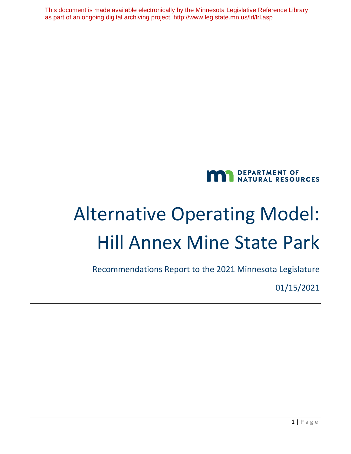This document is made available electronically by the Minnesota Legislative Reference Library as part of an ongoing digital archiving project. http://www.leg.state.mn.us/lrl/lrl.asp



# Alternative Operating Model: Hill Annex Mine State Park

Recommendations Report to the 2021 Minnesota Legislature

01/15/2021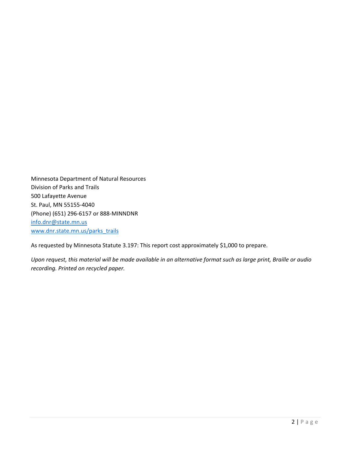Minnesota Department of Natural Resources Division of Parks and Trails 500 Lafayette Avenue St. Paul, MN 55155-4040 (Phone) (651) 296-6157 or 888-MINNDNR [info.dnr@state.mn.us](mailto:info.dnr@state.mn.us) [www.dnr.state.mn.us/parks\\_trails](http://www.dnr.state.mn.us/parks_trails)

As requested by Minnesota Statute 3.197: This report cost approximately \$1,000 to prepare.

*Upon request, this material will be made available in an alternative format such as large print, Braille or audio recording. Printed on recycled paper.*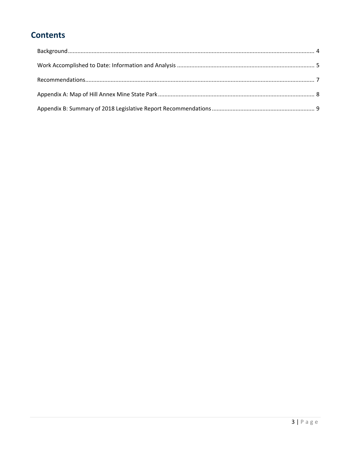# **Contents**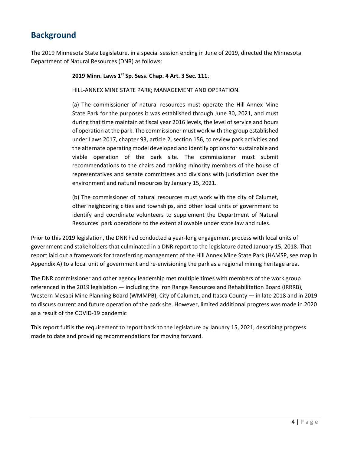## <span id="page-3-0"></span>**Background**

The 2019 Minnesota State Legislature, in a special session ending in June of 2019, directed the Minnesota Department of Natural Resources (DNR) as follows:

**2019 Minn. Laws 1st Sp. Sess. Chap. 4 Art. 3 Sec. 111.** 

HILL-ANNEX MINE STATE PARK; MANAGEMENT AND OPERATION.

(a) The commissioner of natural resources must operate the Hill-Annex Mine State Park for the purposes it was established through June 30, 2021, and must during that time maintain at fiscal year 2016 levels, the level of service and hours of operation at the park. The commissioner must work with the group established under Laws 2017, chapter 93, article 2, section 156, to review park activities and the alternate operating model developed and identify options for sustainable and viable operation of the park site. The commissioner must submit recommendations to the chairs and ranking minority members of the house of representatives and senate committees and divisions with jurisdiction over the environment and natural resources by January 15, 2021.

(b) The commissioner of natural resources must work with the city of Calumet, other neighboring cities and townships, and other local units of government to identify and coordinate volunteers to supplement the Department of Natural Resources' park operations to the extent allowable under state law and rules.

Prior to this 2019 legislation, the DNR had conducted a year-long engagement process with local units of government and stakeholders that culminated in a DNR report to the legislature dated January 15, 2018. That report laid out a framework for transferring management of the Hill Annex Mine State Park (HAMSP, see map in Appendix A) to a local unit of government and re-envisioning the park as a regional mining heritage area.

The DNR commissioner and other agency leadership met multiple times with members of the work group referenced in the 2019 legislation — including the Iron Range Resources and Rehabilitation Board (IRRRB), Western Mesabi Mine Planning Board (WMMPB), City of Calumet, and Itasca County — in late 2018 and in 2019 to discuss current and future operation of the park site. However, limited additional progress was made in 2020 as a result of the COVID-19 pandemic

<span id="page-3-1"></span>This report fulfils the requirement to report back to the legislature by January 15, 2021, describing progress made to date and providing recommendations for moving forward.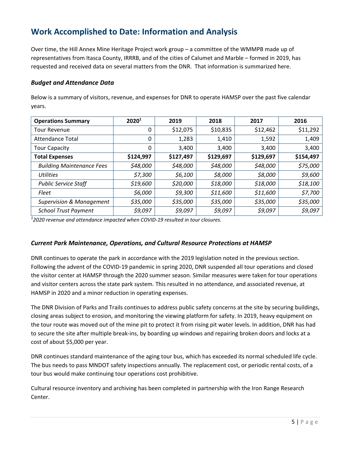## **Work Accomplished to Date: Information and Analysis**

Over time, the Hill Annex Mine Heritage Project work group – a committee of the WMMPB made up of representatives from Itasca County, IRRRB, and of the cities of Calumet and Marble – formed in 2019, has requested and received data on several matters from the DNR. That information is summarized here.

#### *Budget and Attendance Data*

Below is a summary of visitors, revenue, and expenses for DNR to operate HAMSP over the past five calendar years.

| <b>Operations Summary</b>           | 2020 <sup>1</sup> | 2019      | 2018      | 2017      | 2016      |
|-------------------------------------|-------------------|-----------|-----------|-----------|-----------|
| <b>Tour Revenue</b>                 | 0                 | \$12,075  | \$10,835  | \$12,462  | \$11,292  |
| <b>Attendance Total</b>             | 0                 | 1,283     | 1,410     | 1,592     | 1,409     |
| <b>Tour Capacity</b>                | 0                 | 3,400     | 3,400     | 3,400     | 3,400     |
| <b>Total Expenses</b>               | \$124,997         | \$127,497 | \$129,697 | \$129,697 | \$154,497 |
| <b>Building Maintenance Fees</b>    | \$48,000          | \$48,000  | \$48,000  | \$48,000  | \$75,000  |
| <b>Utilities</b>                    | \$7,300           | \$6,100   | \$8,000   | \$8,000   | \$9,600   |
| <b>Public Service Staff</b>         | \$19,600          | \$20,000  | \$18,000  | \$18,000  | \$18,100  |
| Fleet                               | \$6,000           | \$9,300   | \$11,600  | \$11,600  | \$7,700   |
| <b>Supervision &amp; Management</b> | \$35,000          | \$35,000  | \$35,000  | \$35,000  | \$35,000  |
| <b>School Trust Payment</b>         | \$9,097           | \$9,097   | \$9,097   | \$9,097   | \$9,097   |

*1 2020 revenue and attendance impacted when COVID-19 resulted in tour closures.*

#### *Current Park Maintenance, Operations, and Cultural Resource Protections at HAMSP*

DNR continues to operate the park in accordance with the 2019 legislation noted in the previous section. Following the advent of the COVID-19 pandemic in spring 2020, DNR suspended all tour operations and closed the visitor center at HAMSP through the 2020 summer season. Similar measures were taken for tour operations and visitor centers across the state park system. This resulted in no attendance, and associated revenue, at HAMSP in 2020 and a minor reduction in operating expenses.

The DNR Division of Parks and Trails continues to address public safety concerns at the site by securing buildings, closing areas subject to erosion, and monitoring the viewing platform for safety. In 2019, heavy equipment on the tour route was moved out of the mine pit to protect it from rising pit water levels. In addition, DNR has had to secure the site after multiple break-ins, by boarding up windows and repairing broken doors and locks at a cost of about \$5,000 per year.

DNR continues standard maintenance of the aging tour bus, which has exceeded its normal scheduled life cycle. The bus needs to pass MNDOT safety inspections annually. The replacement cost, or periodic rental costs, of a tour bus would make continuing tour operations cost prohibitive.

Cultural resource inventory and archiving has been completed in partnership with the Iron Range Research Center.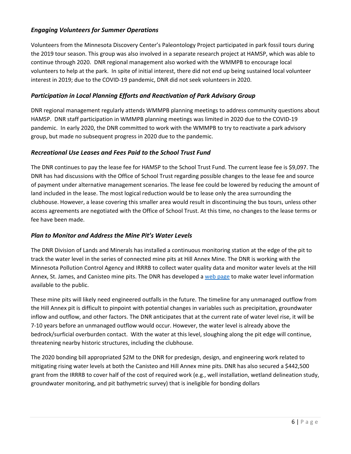#### *Engaging Volunteers for Summer Operations*

Volunteers from the Minnesota Discovery Center's Paleontology Project participated in park fossil tours during the 2019 tour season. This group was also involved in a separate research project at HAMSP, which was able to continue through 2020. DNR regional management also worked with the WMMPB to encourage local volunteers to help at the park. In spite of initial interest, there did not end up being sustained local volunteer interest in 2019; due to the COVID-19 pandemic, DNR did not seek volunteers in 2020.

#### *Participation in Local Planning Efforts and Reactivation of Park Advisory Group*

DNR regional management regularly attends WMMPB planning meetings to address community questions about HAMSP. DNR staff participation in WMMPB planning meetings was limited in 2020 due to the COVID-19 pandemic. In early 2020, the DNR committed to work with the WMMPB to try to reactivate a park advisory group, but made no subsequent progress in 2020 due to the pandemic.

#### *Recreational Use Leases and Fees Paid to the School Trust Fund*

The DNR continues to pay the lease fee for HAMSP to the School Trust Fund. The current lease fee is \$9,097. The DNR has had discussions with the Office of School Trust regarding possible changes to the lease fee and source of payment under alternative management scenarios. The lease fee could be lowered by reducing the amount of land included in the lease. The most logical reduction would be to lease only the area surrounding the clubhouse. However, a lease covering this smaller area would result in discontinuing the bus tours, unless other access agreements are negotiated with the Office of School Trust. At this time, no changes to the lease terms or fee have been made.

#### *Plan to Monitor and Address the Mine Pit's Water Levels*

The DNR Division of Lands and Minerals has installed a continuous monitoring station at the edge of the pit to track the water level in the series of connected mine pits at Hill Annex Mine. The DNR is working with the Minnesota Pollution Control Agency and IRRRB to collect water quality data and monitor water levels at the Hill Annex, St. James, and Canisteo mine pits. The DNR has developed a web [page](https://www.dnr.state.mn.us/lands_minerals/waters_program/hill-annex.html) to make water level information available to the public.

These mine pits will likely need engineered outfalls in the future. The timeline for any unmanaged outflow from the Hill Annex pit is difficult to pinpoint with potential changes in variables such as precipitation, groundwater inflow and outflow, and other factors. The DNR anticipates that at the current rate of water level rise, it will be 7-10 years before an unmanaged outflow would occur. However, the water level is already above the bedrock/surficial overburden contact. With the water at this level, sloughing along the pit edge will continue, threatening nearby historic structures, including the clubhouse.

<span id="page-5-0"></span>The 2020 bonding bill appropriated \$2M to the DNR for predesign, design, and engineering work related to mitigating rising water levels at both the Canisteo and Hill Annex mine pits. DNR has also secured a \$442,500 grant from the IRRRB to cover half of the cost of required work (e.g., well installation, wetland delineation study, groundwater monitoring, and pit bathymetric survey) that is ineligible for bonding dollars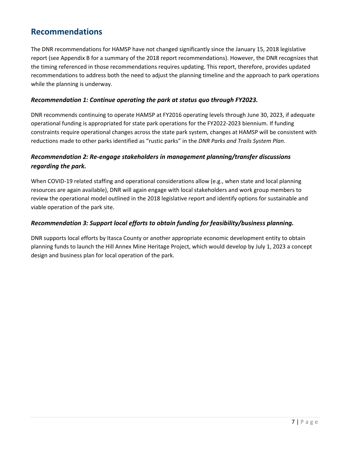### **Recommendations**

The DNR recommendations for HAMSP have not changed significantly since the January 15, 2018 legislative report (see Appendix B for a summary of the 2018 report recommendations). However, the DNR recognizes that the timing referenced in those recommendations requires updating. This report, therefore, provides updated recommendations to address both the need to adjust the planning timeline and the approach to park operations while the planning is underway.

#### *Recommendation 1: Continue operating the park at status quo through FY2023.*

DNR recommends continuing to operate HAMSP at FY2016 operating levels through June 30, 2023, if adequate operational funding is appropriated for state park operations for the FY2022-2023 biennium. If funding constraints require operational changes across the state park system, changes at HAMSP will be consistent with reductions made to other parks identified as "rustic parks" in the *DNR Parks and Trails System Plan*.

#### *Recommendation 2: Re-engage stakeholders in management planning/transfer discussions regarding the park.*

When COVID-19 related staffing and operational considerations allow (e.g., when state and local planning resources are again available), DNR will again engage with local stakeholders and work group members to review the operational model outlined in the 2018 legislative report and identify options for sustainable and viable operation of the park site.

#### *Recommendation 3: Support local efforts to obtain funding for feasibility/business planning.*

DNR supports local efforts by Itasca County or another appropriate economic development entity to obtain planning funds to launch the Hill Annex Mine Heritage Project, which would develop by July 1, 2023 a concept design and business plan for local operation of the park.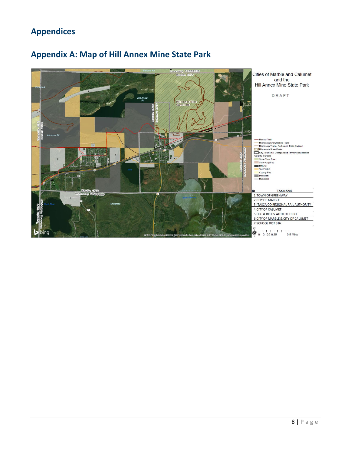# **Appendices**

## <span id="page-7-0"></span>**Appendix A: Map of Hill Annex Mine State Park**